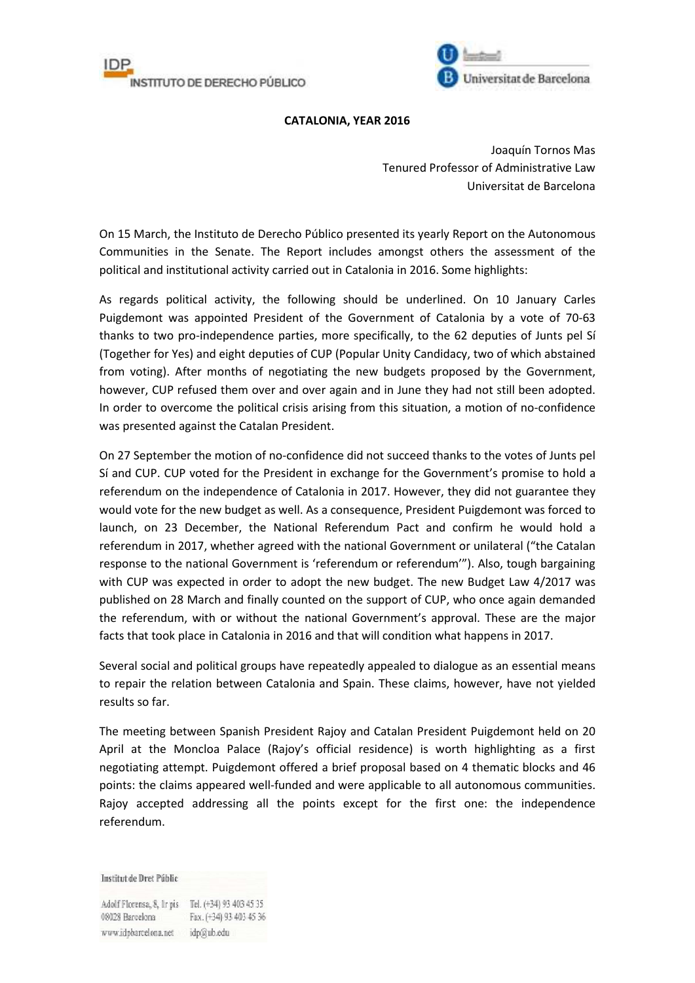



## **CATALONIA, YEAR 2016**

Joaquín Tornos Mas Tenured Professor of Administrative Law Universitat de Barcelona

On 15 March, the Instituto de Derecho Público presented its yearly Report on the Autonomous Communities in the Senate. The Report includes amongst others the assessment of the political and institutional activity carried out in Catalonia in 2016. Some highlights:

As regards political activity, the following should be underlined. On 10 January Carles Puigdemont was appointed President of the Government of Catalonia by a vote of 70-63 thanks to two pro-independence parties, more specifically, to the 62 deputies of Junts pel Sí (Together for Yes) and eight deputies of CUP (Popular Unity Candidacy, two of which abstained from voting). After months of negotiating the new budgets proposed by the Government, however, CUP refused them over and over again and in June they had not still been adopted. In order to overcome the political crisis arising from this situation, a motion of no-confidence was presented against the Catalan President.

On 27 September the motion of no-confidence did not succeed thanks to the votes of Junts pel Sí and CUP. CUP voted for the President in exchange for the Government's promise to hold a referendum on the independence of Catalonia in 2017. However, they did not guarantee they would vote for the new budget as well. As a consequence, President Puigdemont was forced to launch, on 23 December, the National Referendum Pact and confirm he would hold a referendum in 2017, whether agreed with the national Government or unilateral ("the Catalan response to the national Government is 'referendum or referendum'"). Also, tough bargaining with CUP was expected in order to adopt the new budget. The new Budget Law 4/2017 was published on 28 March and finally counted on the support of CUP, who once again demanded the referendum, with or without the national Government's approval. These are the major facts that took place in Catalonia in 2016 and that will condition what happens in 2017.

Several social and political groups have repeatedly appealed to dialogue as an essential means to repair the relation between Catalonia and Spain. These claims, however, have not yielded results so far.

The meeting between Spanish President Rajoy and Catalan President Puigdemont held on 20 April at the Moncloa Palace (Rajoy's official residence) is worth highlighting as a first negotiating attempt. Puigdemont offered a brief proposal based on 4 thematic blocks and 46 points: the claims appeared well-funded and were applicable to all autonomous communities. Rajoy accepted addressing all the points except for the first one: the independence referendum.

Institut de Dret Públic

Adolf Florensa, 8, Ir pis Tel. (+34) 93 403 45 35 08028 Barcelona Fax. (+34) 93 403 45 36 www.idpbarcelona.net idp@ub.edu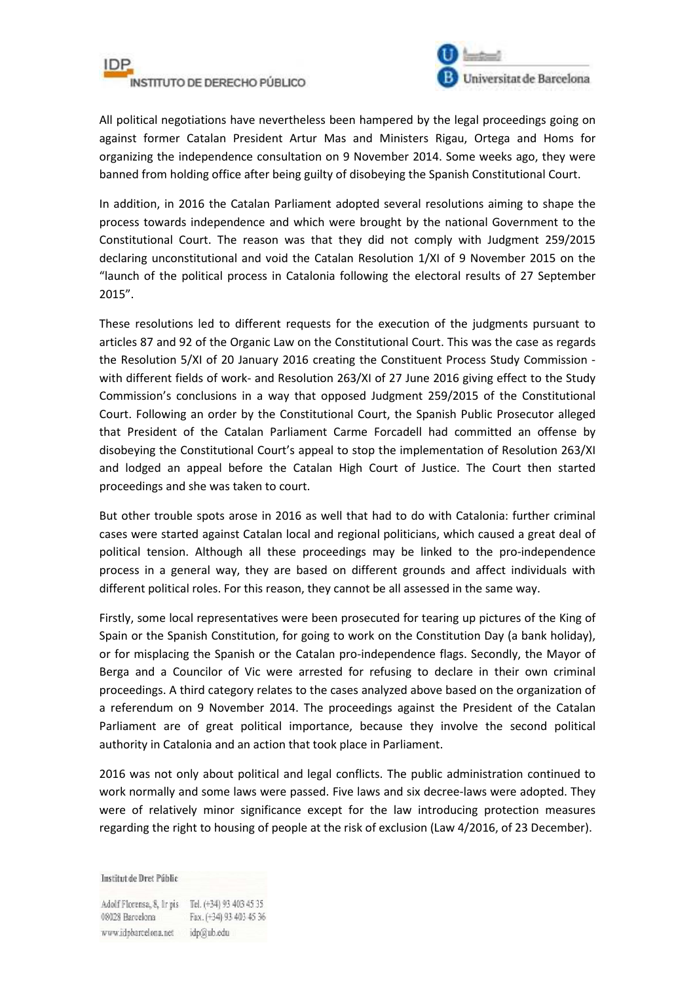



All political negotiations have nevertheless been hampered by the legal proceedings going on against former Catalan President Artur Mas and Ministers Rigau, Ortega and Homs for organizing the independence consultation on 9 November 2014. Some weeks ago, they were banned from holding office after being guilty of disobeying the Spanish Constitutional Court.

In addition, in 2016 the Catalan Parliament adopted several resolutions aiming to shape the process towards independence and which were brought by the national Government to the Constitutional Court. The reason was that they did not comply with Judgment 259/2015 declaring unconstitutional and void the Catalan Resolution 1/XI of 9 November 2015 on the "launch of the political process in Catalonia following the electoral results of 27 September 2015".

These resolutions led to different requests for the execution of the judgments pursuant to articles 87 and 92 of the Organic Law on the Constitutional Court. This was the case as regards the Resolution 5/XI of 20 January 2016 creating the Constituent Process Study Commission with different fields of work- and Resolution 263/XI of 27 June 2016 giving effect to the Study Commission's conclusions in a way that opposed Judgment 259/2015 of the Constitutional Court. Following an order by the Constitutional Court, the Spanish Public Prosecutor alleged that President of the Catalan Parliament Carme Forcadell had committed an offense by disobeying the Constitutional Court's appeal to stop the implementation of Resolution 263/XI and lodged an appeal before the Catalan High Court of Justice. The Court then started proceedings and she was taken to court.

But other trouble spots arose in 2016 as well that had to do with Catalonia: further criminal cases were started against Catalan local and regional politicians, which caused a great deal of political tension. Although all these proceedings may be linked to the pro-independence process in a general way, they are based on different grounds and affect individuals with different political roles. For this reason, they cannot be all assessed in the same way.

Firstly, some local representatives were been prosecuted for tearing up pictures of the King of Spain or the Spanish Constitution, for going to work on the Constitution Day (a bank holiday), or for misplacing the Spanish or the Catalan pro-independence flags. Secondly, the Mayor of Berga and a Councilor of Vic were arrested for refusing to declare in their own criminal proceedings. A third category relates to the cases analyzed above based on the organization of a referendum on 9 November 2014. The proceedings against the President of the Catalan Parliament are of great political importance, because they involve the second political authority in Catalonia and an action that took place in Parliament.

2016 was not only about political and legal conflicts. The public administration continued to work normally and some laws were passed. Five laws and six decree-laws were adopted. They were of relatively minor significance except for the law introducing protection measures regarding the right to housing of people at the risk of exclusion (Law 4/2016, of 23 December).

Institut de Dret Públic

Adolf Florensa, 8, Ir pis Tel. (+34) 93 403 45 35 08028 Barcelona Fax. (+34) 93 403 45 36 www.idpbarcelona.net idp@ub.edu